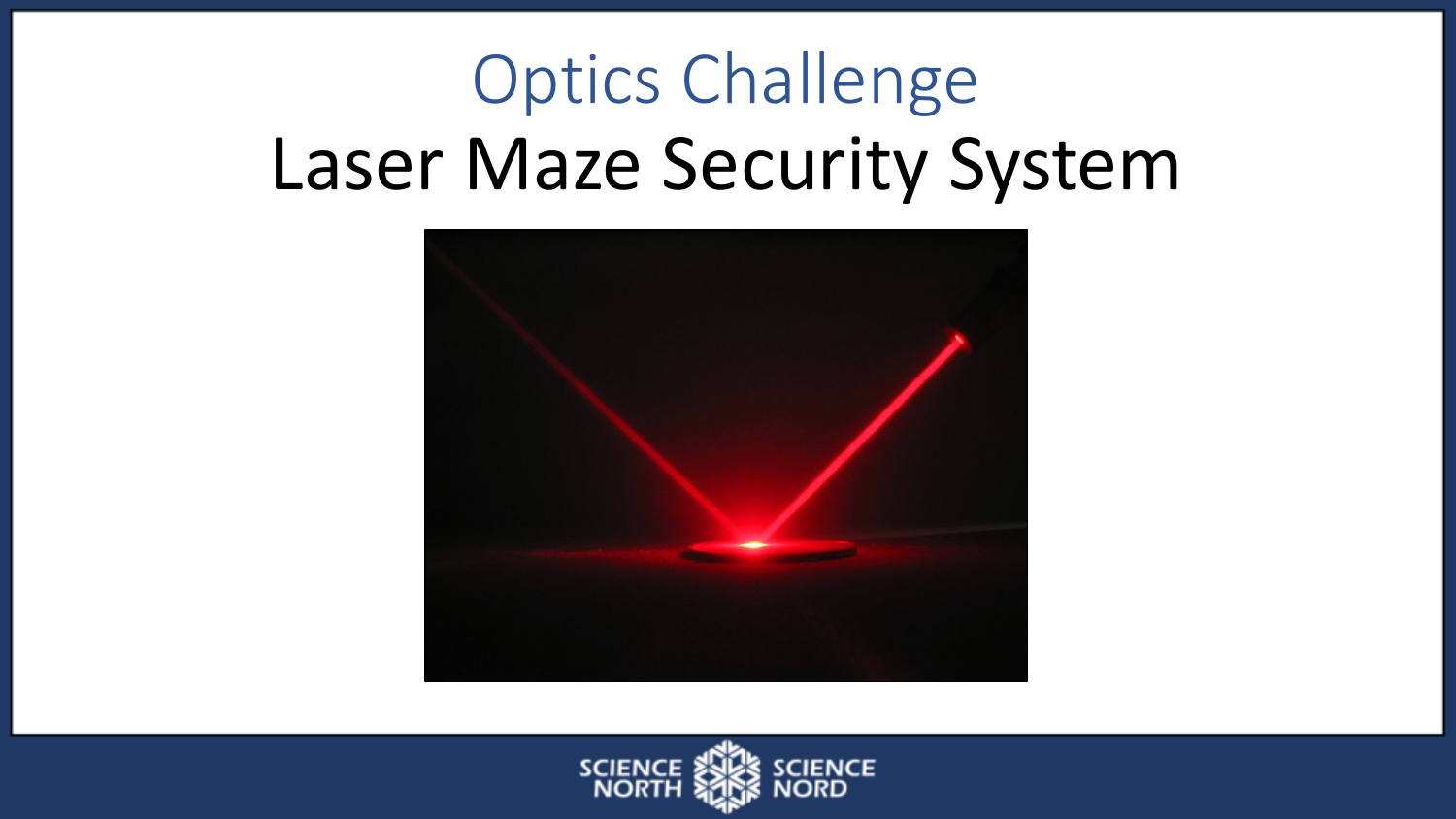# Optics Challenge Laser Maze Security System



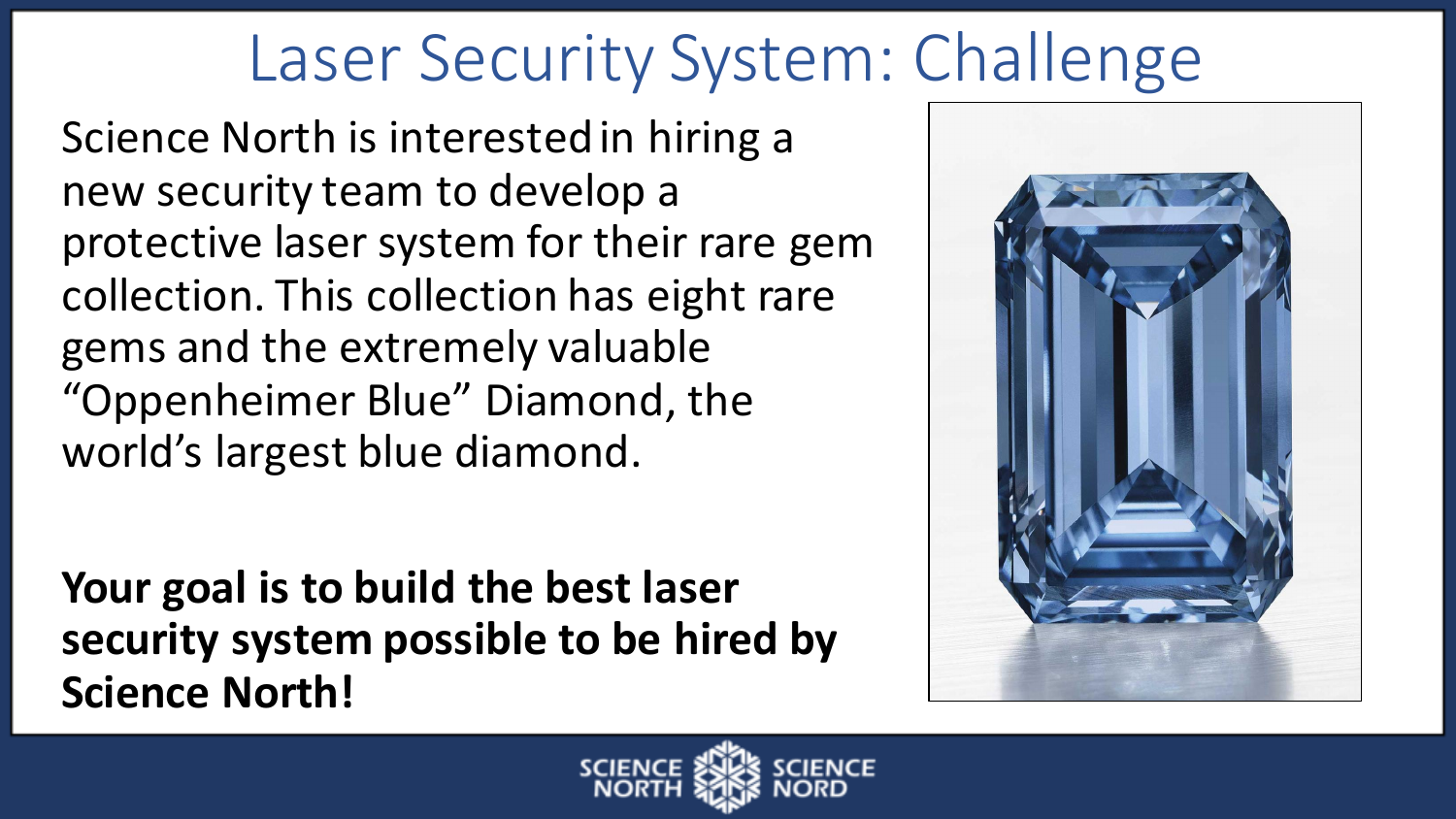## Laser Security System: Challenge

Science North is interested in hiring a new security team to develop a protective laser system for their rare gem collection. This collection has eight rare gems and the extremely valuable "Oppenheimer Blue" Diamond, the world's largest blue diamond.

Your goal is to build the best laser security system possible to be hired by **Science North!** 



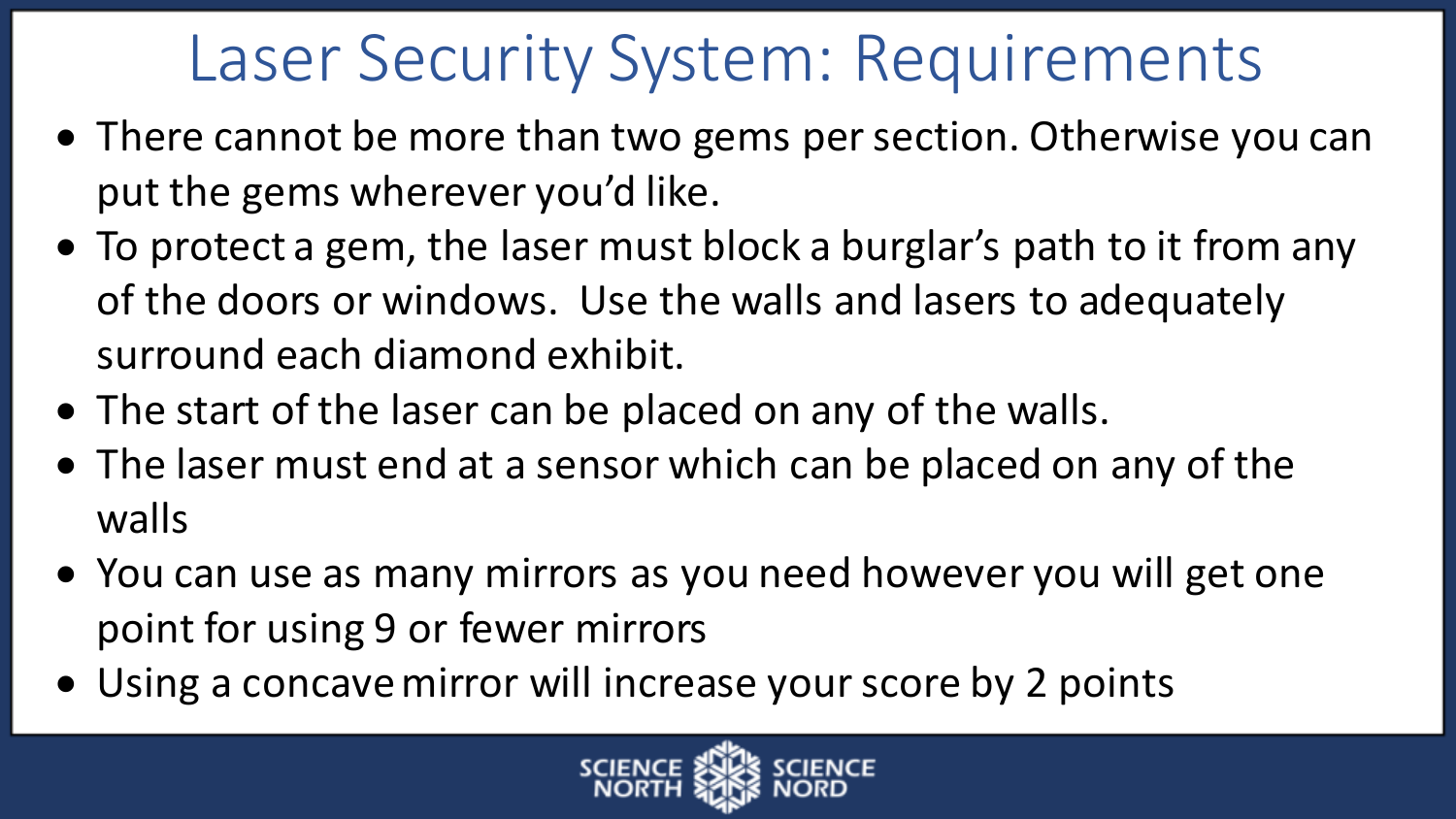## Laser Security System: Requirements

- There cannot be more than two gems per section. Otherwise you can put the gems wherever you'd like.
- To protect a gem, the laser must block a burglar's path to it from any of the doors or windows. Use the walls and lasers to adequately surround each diamond exhibit.
- The start of the laser can be placed on any of the walls.
- The laser must end at a sensor which can be placed on any of the walls
- You can use as many mirrors as you need however you will get one point for using 9 or fewer mirrors
- Using a concave mirror will increase your score by 2 points

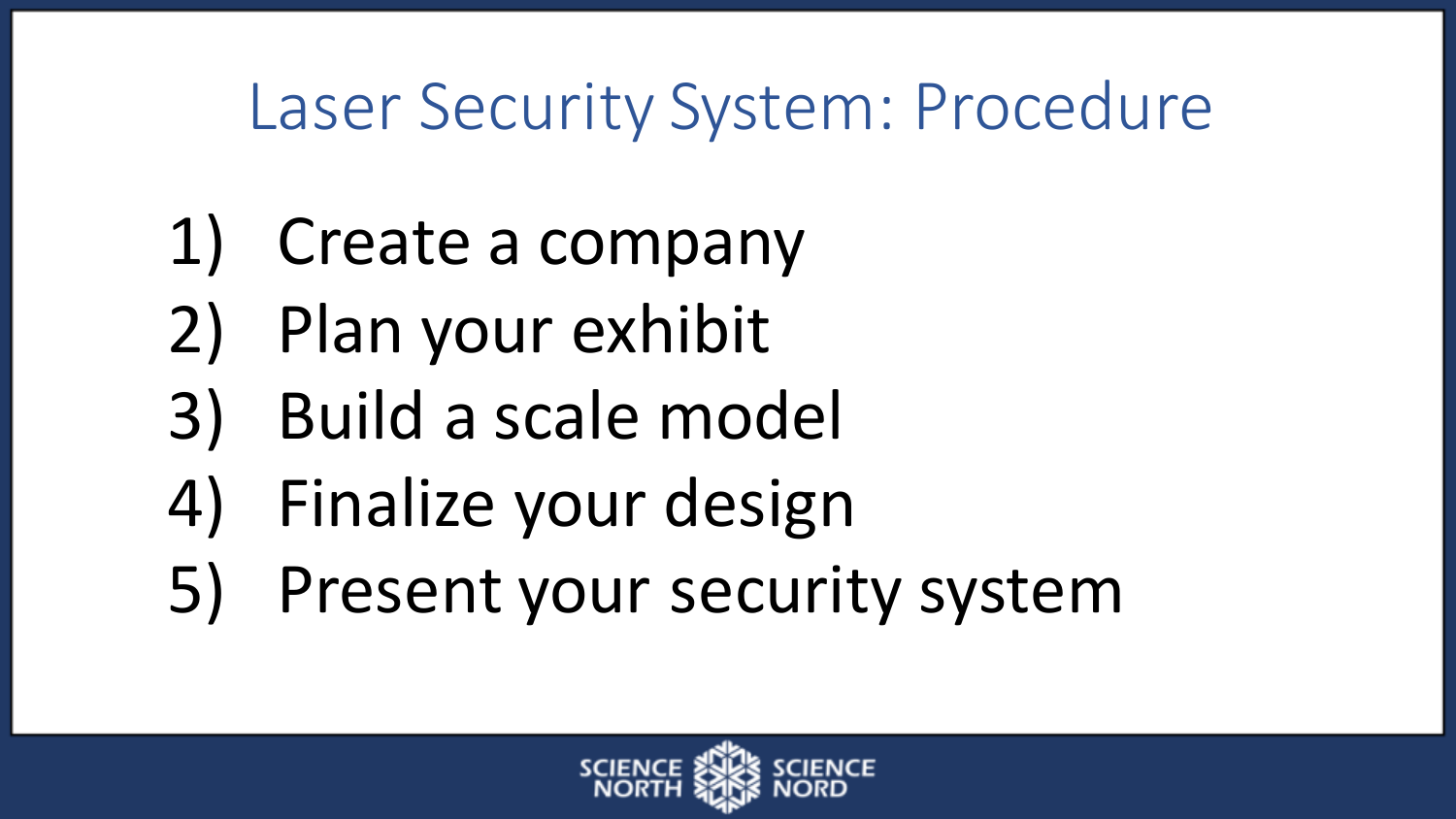## Laser Security System: Procedure

- 1) Create a company
- 2) Plan your exhibit
- 3) Build a scale model
- 4) Finalize your design
- 5) Present your security system